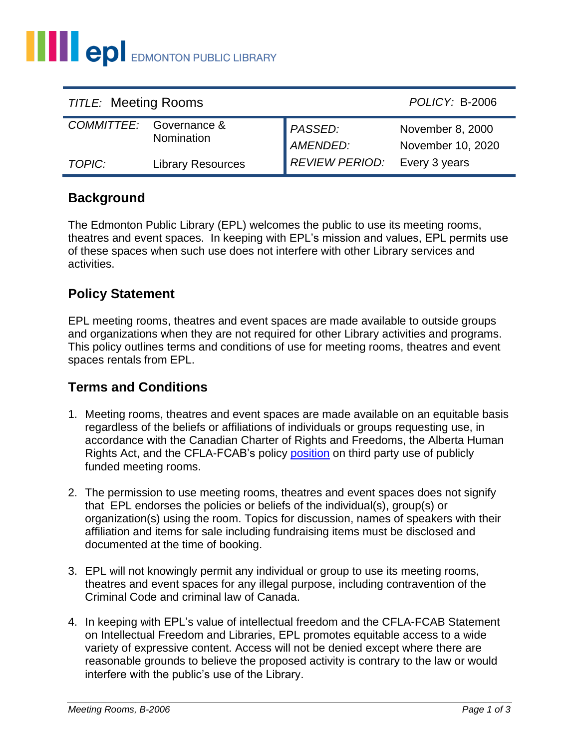| <b>TITLE: Meeting Rooms</b> |                                       |                            | POLICY: B-2006                        |
|-----------------------------|---------------------------------------|----------------------------|---------------------------------------|
|                             | COMMITTEE: Governance &<br>Nomination | <b>PASSED:</b><br>AMENDED: | November 8, 2000<br>November 10, 2020 |
| TOPIC:                      | <b>Library Resources</b>              | <b>REVIEW PERIOD:</b>      | Every 3 years                         |

### **Background**

The Edmonton Public Library (EPL) welcomes the public to use its meeting rooms, theatres and event spaces. In keeping with EPL's mission and values, EPL permits use of these spaces when such use does not interfere with other Library services and activities.

### **Policy Statement**

EPL meeting rooms, theatres and event spaces are made available to outside groups and organizations when they are not required for other Library activities and programs. This policy outlines terms and conditions of use for meeting rooms, theatres and event spaces rentals from EPL.

# **Terms and Conditions**

- 1. Meeting rooms, theatres and event spaces are made available on an equitable basis regardless of the beliefs or affiliations of individuals or groups requesting use, in accordance with the Canadian Charter of Rights and Freedoms, the Alberta Human Rights Act, and the CFLA-FCAB's policy [position](http://cfla-fcab.ca/wp-content/uploads/2019/03/CFLA-FCAB_statement_meeting_rooms.pdf) on third party use of publicly funded meeting rooms.
- 2. The permission to use meeting rooms, theatres and event spaces does not signify that EPL endorses the policies or beliefs of the individual(s), group(s) or organization(s) using the room. Topics for discussion, names of speakers with their affiliation and items for sale including fundraising items must be disclosed and documented at the time of booking.
- 3. EPL will not knowingly permit any individual or group to use its meeting rooms, theatres and event spaces for any illegal purpose, including contravention of the Criminal Code and criminal law of Canada.
- 4. In keeping with EPL's value of intellectual freedom and the CFLA-FCAB Statement on Intellectual Freedom and Libraries, EPL promotes equitable access to a wide variety of expressive content. Access will not be denied except where there are reasonable grounds to believe the proposed activity is contrary to the law or would interfere with the public's use of the Library.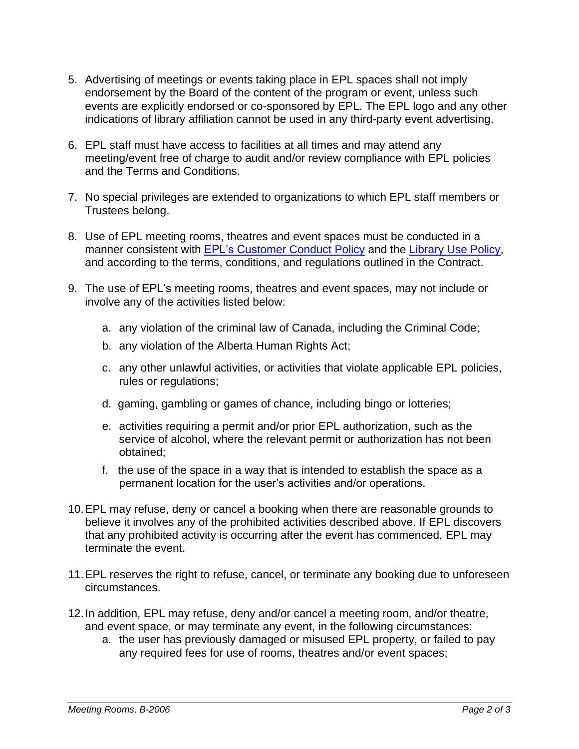- 5. Advertising of meetings or events taking place in EPL spaces shall not imply endorsement by the Board of the content of the program or event, unless such events are explicitly endorsed or co-sponsored by EPL. The EPL logo and any other indications of library affiliation cannot be used in any third-party event advertising.
- 6. EPL staff must have access to facilities at all times and may attend any meeting/event free of charge to audit and/or review compliance with EPL policies and the Terms and Conditions.
- 7. No special privileges are extended to organizations to which EPL staff members or Trustees belong.
- 8. Use of EPL meeting rooms, theatres and event spaces must be conducted in a manner consistent with [EPL's Customer Conduct Policy](https://www2.epl.ca/public-files/policies/Customer%20Conduct%20-%20Management%20of%20(A-1009).pdf?_ga=2.104813632.1354325702.1600698722-1168093266.1560436858) and the [Library Use Policy,](https://www2.epl.ca/public-files/policies/board-policies/library_use_b-2028.pdf?_ga=2.187775584.937455394.1587592220-1062380277.1540903766) and according to the terms, conditions, and regulations outlined in the Contract.
- 9. The use of EPL's meeting rooms, theatres and event spaces, may not include or involve any of the activities listed below:
	- a. any violation of the criminal law of Canada, including the Criminal Code;
	- b. any violation of the Alberta Human Rights Act;
	- c. any other unlawful activities, or activities that violate applicable EPL policies, rules or regulations;
	- d. gaming, gambling or games of chance, including bingo or lotteries;
	- e. activities requiring a permit and/or prior EPL authorization, such as the service of alcohol, where the relevant permit or authorization has not been obtained;
	- f. the use of the space in a way that is intended to establish the space as a permanent location for the user's activities and/or operations.
- 10.EPL may refuse, deny or cancel a booking when there are reasonable grounds to believe it involves any of the prohibited activities described above. If EPL discovers that any prohibited activity is occurring after the event has commenced, EPL may terminate the event.
- 11.EPL reserves the right to refuse, cancel, or terminate any booking due to unforeseen circumstances.
- 12.In addition, EPL may refuse, deny and/or cancel a meeting room, and/or theatre, and event space, or may terminate any event, in the following circumstances:
	- a. the user has previously damaged or misused EPL property, or failed to pay any required fees for use of rooms, theatres and/or event spaces;